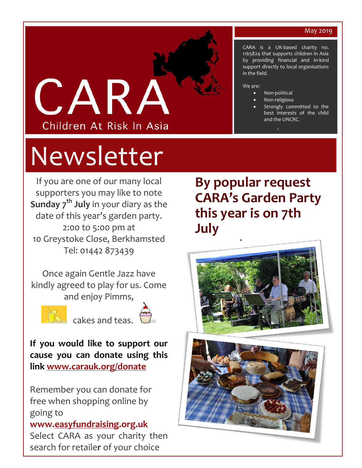#### May 2019



# Newsletter

If you are one of our many local supporters you may like to note **Sunday 7th July** in your diary as the date of this year's garden party. 2:00 to 5:00 pm at 10 Greystoke Close, Berkhamsted Tel: 01442 873439

Once again Gentle Jazz have kindly agreed to play for us. Come and enjoy Pimms,



cakes and teas.



**If you would like to support our cause you can donate using this link [www.carauk.org/donate](http://www.carauk.org/donate)**

Remember you can donate for free when shopping online by going to **www[.easyfundraising.](http://www.easyfundraising.org.uk/)org.uk** Select CARA as your charity then search for retaile**r** of your choice

**By popular request CARA's Garden Party this year is on 7th July**





CARA is a UK-based charity no. 1165824 that supports children in Asia by providing financial and in-kind support directly to local organisations in the field.

#### We are:

- Non-political
- Non-religious
- Strongly committed to the best interests of the child and the UNCRC.

[www.carauk.org](http://www.carauk.org/)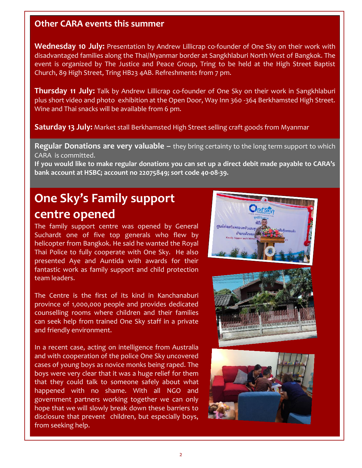### **Other CARA events this summer**

**Wednesday 10 July:** Presentation by Andrew Lillicrap co-founder of One Sky on their work with disadvantaged families along the Thai/Myanmar border at Sangkhlaburi North West of Bangkok. The event is organized by The Justice and Peace Group, Tring to be held at the High Street Baptist Church, 89 High Street, Tring HB23 4AB. Refreshments from 7 pm.

**Thursday 11 July:** Talk by Andrew Lillicrap co-founder of One Sky on their work in Sangkhlaburi plus short video and photo exhibition at the Open Door, Way Inn 360 -364 Berkhamsted High Street. Wine and Thai snacks will be available from 6 pm.

**Saturday 13 July:** Market stall Berkhamsted High Street selling craft goods from Myanmar

**Regular Donations are very valuable –** they bring certainty to the long term support to which CARA is committed.

**If you would like to make regular donations you can set up a direct debit made payable to CARA's bank account at HSBC; account no 22075849; sort code 40-08-39.** 

## **One Sky's Family support centre opened**

The family support centre was opened by General Suchardt one of five top generals who flew by helicopter from Bangkok. He said he wanted the Royal Thai Police to fully cooperate with One Sky. He also presented Aye and Auntida with awards for their fantastic work as family support and child protection team leaders.

The Centre is the first of its kind in Kanchanaburi province of 1,000,000 people and provides dedicated counselling rooms where children and their families can seek help from trained One Sky staff in a private and friendly environment.

In a recent case, acting on intelligence from Australia and with cooperation of the police One Sky uncovered cases of young boys as novice monks being raped. The boys were very clear that it was a huge relief for them that they could talk to someone safely about what happened with no shame. With all NGO and government partners working together we can only hope that we will slowly break down these barriers to disclosure that prevent children, but especially boys, from seeking help.

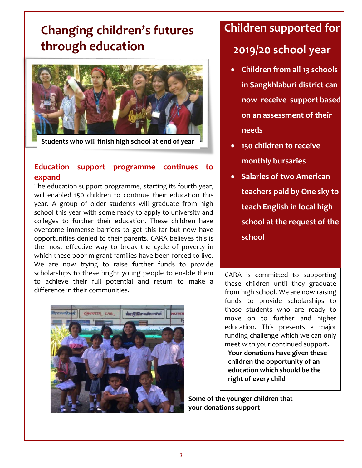## **Changing children's futures through education**



**Students who will finish high school at end of year**

#### **Education support programme continues to expand**

The education support programme, starting its fourth year, will enabled 150 children to continue their education this year. A group of older students will graduate from high school this year with some ready to apply to university and colleges to further their education. These children have overcome immense barriers to get this far but now have opportunities denied to their parents. CARA believes this is the most effective way to break the cycle of poverty in which these poor migrant families have been forced to live. We are now trying to raise further funds to provide scholarships to these bright young people to enable them to achieve their full potential and return to make a difference in their communities.



## **Children supported for 2019/20 school year**

- **Children from all 13 schools in Sangkhlaburi district can now receive support based on an assessment of their needs**
- **150 children to receive monthly bursaries**
- **Salaries of two American teachers paid by One sky to teach English in local high school at the request of the school**

CARA is committed to supporting these children until they graduate from high school. We are now raising funds to provide scholarships to those students who are ready to move on to further and higher education. This presents a major funding challenge which we can only meet with your continued support. **Your donations have given these children the opportunity of an education which should be the right of every child**

**Some of the younger children that your donations support**